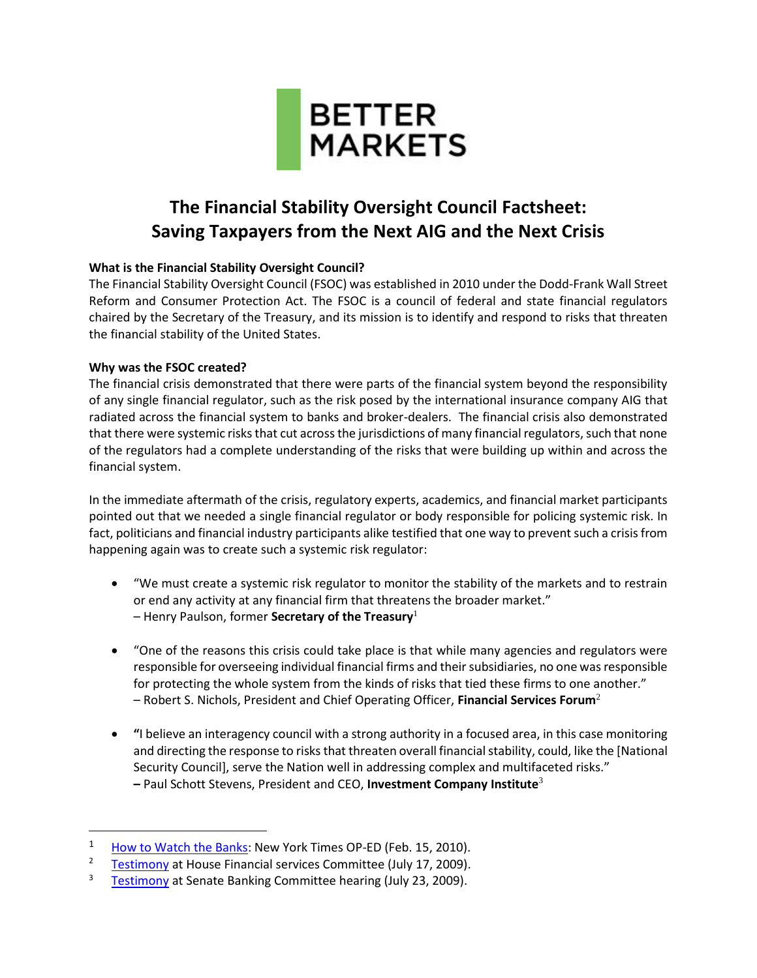

# **The Financial Stability Oversight Council Factsheet: Saving Taxpayers from the Next AIG and the Next Crisis**

## **What is the Financial Stability Oversight Council?**

The Financial Stability Oversight Council (FSOC) was established in 2010 under the Dodd-Frank Wall Street Reform and Consumer Protection Act. The FSOC is a council of federal and state financial regulators chaired by the Secretary of the Treasury, and its mission is to identify and respond to risks that threaten the financial stability of the United States.

## **Why was the FSOC created?**

 $\overline{\phantom{a}}$ 

The financial crisis demonstrated that there were parts of the financial system beyond the responsibility of any single financial regulator, such as the risk posed by the international insurance company AIG that radiated across the financial system to banks and broker-dealers. The financial crisis also demonstrated that there were systemic risks that cut across the jurisdictions of many financial regulators, such that none of the regulators had a complete understanding of the risks that were building up within and across the financial system.

In the immediate aftermath of the crisis, regulatory experts, academics, and financial market participants pointed out that we needed a single financial regulator or body responsible for policing systemic risk. In fact, politicians and financial industry participants alike testified that one way to prevent such a crisis from happening again was to create such a systemic risk regulator:

- "We must create a systemic risk regulator to monitor the stability of the markets and to restrain or end any activity at any financial firm that threatens the broader market." – Henry Paulson, former **Secretary of the Treasury**<sup>1</sup>
- "One of the reasons this crisis could take place is that while many agencies and regulators were responsible for overseeing individual financial firms and their subsidiaries, no one was responsible for protecting the whole system from the kinds of risks that tied these firms to one another." – Robert S. Nichols, President and Chief Operating Officer, **Financial Services Forum**<sup>2</sup>
- **"**I believe an interagency council with a strong authority in a focused area, in this case monitoring and directing the response to risks that threaten overall financial stability, could, like the [National Security Council], serve the Nation well in addressing complex and multifaceted risks." **–** Paul Schott Stevens, President and CEO, **Investment Company Institute**<sup>3</sup>

<sup>&</sup>lt;sup>1</sup> [How to Watch the](http://www.nytimes.com/2010/02/16/opinion/16paulson.html?pagewanted=all) Banks: New York Times OP-ED (Feb. 15, 2010).

<sup>&</sup>lt;sup>2</sup> [Testimony](http://www.gpo.gov/fdsys/pkg/CHRG-111hhrg53242/pdf/CHRG-111hhrg53242.pdf) at House Financial services Committee (July 17, 2009).

<sup>&</sup>lt;sup>3</sup> [Testimony](http://www.gpo.gov/fdsys/pkg/CHRG-111shrg55278/pdf/CHRG-111shrg55278.pdf) at Senate Banking Committee hearing (July 23, 2009).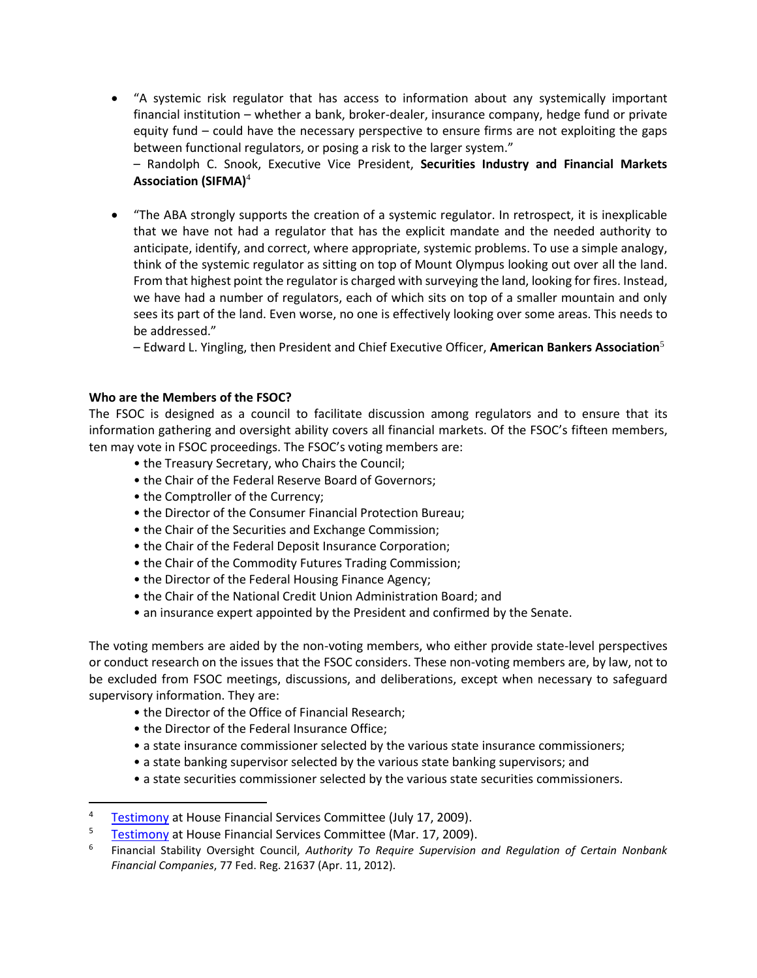"A systemic risk regulator that has access to information about any systemically important financial institution – whether a bank, broker-dealer, insurance company, hedge fund or private equity fund – could have the necessary perspective to ensure firms are not exploiting the gaps between functional regulators, or posing a risk to the larger system."

– Randolph C. Snook, Executive Vice President, **Securities Industry and Financial Markets Association (SIFMA)**<sup>4</sup>

 "The ABA strongly supports the creation of a systemic regulator. In retrospect, it is inexplicable that we have not had a regulator that has the explicit mandate and the needed authority to anticipate, identify, and correct, where appropriate, systemic problems. To use a simple analogy, think of the systemic regulator as sitting on top of Mount Olympus looking out over all the land. From that highest point the regulator is charged with surveying the land, looking for fires. Instead, we have had a number of regulators, each of which sits on top of a smaller mountain and only sees its part of the land. Even worse, no one is effectively looking over some areas. This needs to be addressed."

– Edward L. Yingling, then President and Chief Executive Officer, **American Bankers Association**<sup>5</sup>

### **Who are the Members of the FSOC?**

 $\overline{\phantom{a}}$ 

The FSOC is designed as a council to facilitate discussion among regulators and to ensure that its information gathering and oversight ability covers all financial markets. Of the FSOC's fifteen members, ten may vote in FSOC proceedings. The FSOC's voting members are:

- the Treasury Secretary, who Chairs the Council;
- the Chair of the Federal Reserve Board of Governors;
- the Comptroller of the Currency;
- the Director of the Consumer Financial Protection Bureau;
- the Chair of the Securities and Exchange Commission;
- the Chair of the Federal Deposit Insurance Corporation;
- the Chair of the Commodity Futures Trading Commission;
- the Director of the Federal Housing Finance Agency;
- the Chair of the National Credit Union Administration Board; and
- an insurance expert appointed by the President and confirmed by the Senate.

The voting members are aided by the non-voting members, who either provide state-level perspectives or conduct research on the issues that the FSOC considers. These non-voting members are, by law, not to be excluded from FSOC meetings, discussions, and deliberations, except when necessary to safeguard supervisory information. They are:

- the Director of the Office of Financial Research;
- the Director of the Federal Insurance Office;
- a state insurance commissioner selected by the various state insurance commissioners;
- a state banking supervisor selected by the various state banking supervisors; and
- a state securities commissioner selected by the various state securities commissioners.

<sup>&</sup>lt;sup>4</sup> [Testimony](http://www.gpo.gov/fdsys/pkg/CHRG-111hhrg53242/pdf/CHRG-111hhrg53242.pdf) at House Financial Services Committee (July 17, 2009).

<sup>&</sup>lt;sup>5</sup> [Testimony](http://www.aba.com/aba/documents/press/March17YinglingFinancialRegulationTestimony.pdf) at House Financial Services Committee (Mar. 17, 2009).

<sup>6</sup> Financial Stability Oversight Council, *Authority To Require Supervision and Regulation of Certain Nonbank Financial Companies*, 77 Fed. Reg. 21637 (Apr. 11, 2012).